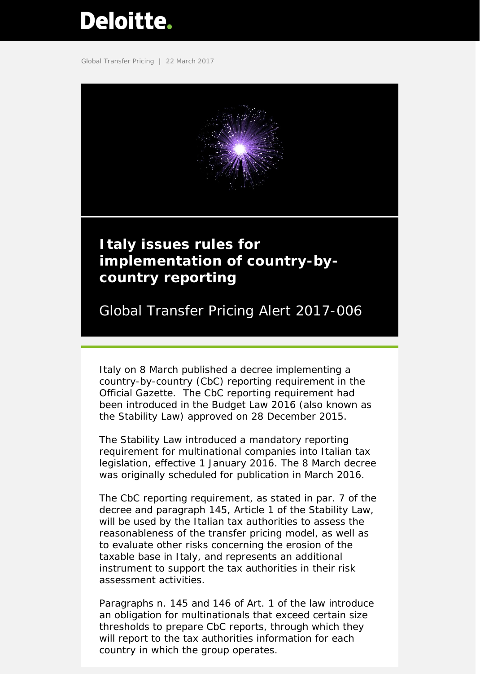## <span id="page-0-0"></span>**Deloitte.**

Global Transfer Pricing | 22 March 2017



Italy on 8 March published a decree implementing a country-by-country (CbC) reporting requirement in the Official Gazette. The CbC reporting requirement had been introduced in the Budget Law 2016 (also known as the Stability Law) approved on 28 December 2015.

The Stability Law introduced a mandatory reporting requirement for multinational companies into Italian tax legislation, effective 1 January 2016. The 8 March decree was originally scheduled for publication in March 2016.

The CbC reporting requirement, as stated in par. 7 of the decree and paragraph 145, Article 1 of the Stability Law, will be used by the Italian tax authorities to assess the reasonableness of the transfer pricing model, as well as to evaluate other risks concerning the erosion of the taxable base in Italy, and represents an additional instrument to support the tax authorities in their risk assessment activities.

Paragraphs n. 145 and 146 of Art. 1 of the law introduce an obligation for multinationals that exceed certain size thresholds to prepare CbC reports, through which they will report to the tax authorities information for each country in which the group operates.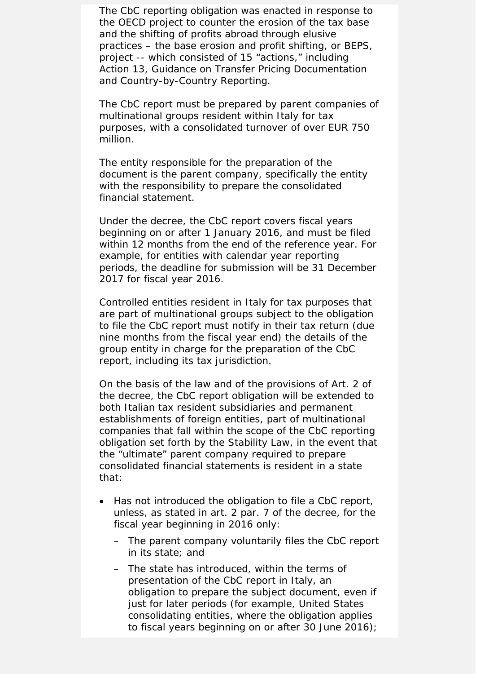The CbC reporting obligation was enacted in response to the OECD project to counter the erosion of the tax base and the shifting of profits abroad through elusive practices – the base erosion and profit shifting, or BEPS, project -- which consisted of 15 "actions," including Action 13, *Guidance on Transfer Pricing Documentation and Country-by-Country Reporting*.

The CbC report must be prepared by parent companies of multinational groups resident within Italy for tax purposes, with a consolidated turnover of over EUR 750 million.

The entity responsible for the preparation of the document is the parent company, specifically the entity with the responsibility to prepare the consolidated financial statement.

Under the decree, the CbC report covers fiscal years beginning on or after 1 January 2016, and must be filed within 12 months from the end of the reference year. For example, for entities with calendar year reporting periods, the deadline for submission will be 31 December 2017 for fiscal year 2016.

Controlled entities resident in Italy for tax purposes that are part of multinational groups subject to the obligation to file the CbC report must notify in their tax return (due nine months from the fiscal year end) the details of the group entity in charge for the preparation of the CbC report, including its tax jurisdiction.

On the basis of the law and of the provisions of Art. 2 of the decree, the CbC report obligation will be extended to both Italian tax resident subsidiaries and permanent establishments of foreign entities, part of multinational companies that fall within the scope of the CbC reporting obligation set forth by the Stability Law, in the event that the "ultimate" parent company required to prepare consolidated financial statements is resident in a state that:

- Has not introduced the obligation to file a CbC report, unless, as stated in art. 2 par. 7 of the decree, for the fiscal year beginning in 2016 only:
	- The parent company voluntarily files the CbC report in its state; and
	- The state has introduced, within the terms of presentation of the CbC report in Italy, an obligation to prepare the subject document, even if just for later periods (for example, United States consolidating entities, where the obligation applies to fiscal years beginning on or after 30 June 2016);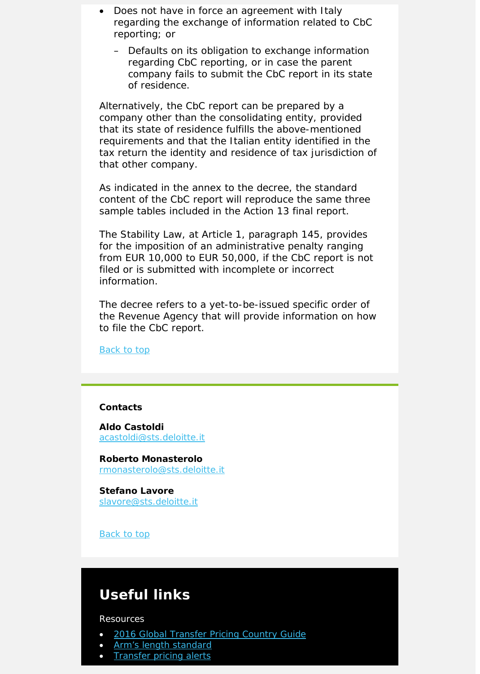- Does not have in force an agreement with Italy regarding the exchange of information related to CbC reporting; or
	- Defaults on its obligation to exchange information regarding CbC reporting, or in case the parent company fails to submit the CbC report in its state of residence.

Alternatively, the CbC report can be prepared by a company other than the consolidating entity, provided that its state of residence fulfills the above-mentioned requirements and that the Italian entity identified in the tax return the identity and residence of tax jurisdiction of that other company.

As indicated in the annex to the decree, the standard content of the CbC report will reproduce the same three sample tables included in the Action 13 final report.

The Stability Law, at Article 1, paragraph 145, provides for the imposition of an administrative penalty ranging from EUR 10,000 to EUR 50,000, if the CbC report is not filed or is submitted with incomplete or incorrect information.

The decree refers to a yet-to-be-issued specific order of the Revenue Agency that will provide information on how to file the CbC report.

Back to top

## **Contacts**

**Aldo Castoldi** [acastoldi@sts.deloitte.i](mailto:acastoldi@sts.deloitte.)t

**Roberto Monasterolo** [rmonasterolo@sts.deloitte.i](mailto:rmonasterolo@sts.deloitte.)t

**Stefano Lavore** [slavore@sts.deloitte.i](mailto:slavore@sts.deloitte.)t

Back to top

## **Useful links**

Resources

- [2016 Global Transfer Pricing Country Guide](https://www2.deloitte.com/us/en/pages/tax/articles/global-transfer-pricing-country-guide.html)
- [Arm's length standard](http://www2.deloitte.com/global/en/pages/tax/articles/arms-length-standard.html)
- **[Transfer pricing alerts](http://www2.deloitte.com/global/en/pages/tax/articles/global-transfer-pricing-alerts.html)**